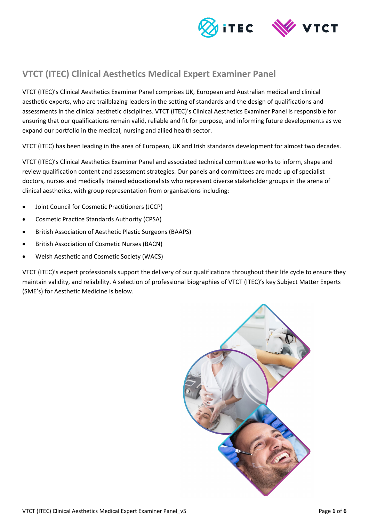

# **VTCT (ITEC) Clinical Aesthetics Medical Expert Examiner Panel**

VTCT (ITEC)'s Clinical Aesthetics Examiner Panel comprises UK, European and Australian medical and clinical aesthetic experts, who are trailblazing leaders in the setting of standards and the design of qualifications and assessments in the clinical aesthetic disciplines. VTCT (ITEC)'s Clinical Aesthetics Examiner Panel is responsible for ensuring that our qualifications remain valid, reliable and fit for purpose, and informing future developments as we expand our portfolio in the medical, nursing and allied health sector.

VTCT (ITEC) has been leading in the area of European, UK and Irish standards development for almost two decades.

VTCT (ITEC)'s Clinical Aesthetics Examiner Panel and associated technical committee works to inform, shape and review qualification content and assessment strategies. Our panels and committees are made up of specialist doctors, nurses and medically trained educationalists who represent diverse stakeholder groups in the arena of clinical aesthetics, with group representation from organisations including:

- Joint Council for Cosmetic Practitioners (JCCP)
- Cosmetic Practice Standards Authority (CPSA)
- British Association of Aesthetic Plastic Surgeons (BAAPS)
- British Association of Cosmetic Nurses (BACN)
- Welsh Aesthetic and Cosmetic Society (WACS)

VTCT (ITEC)'s expert professionals support the delivery of our qualifications throughout their life cycle to ensure they maintain validity, and reliability. A selection of professional biographies of VTCT (ITEC)'s key Subject Matter Experts (SME's) for Aesthetic Medicine is below.

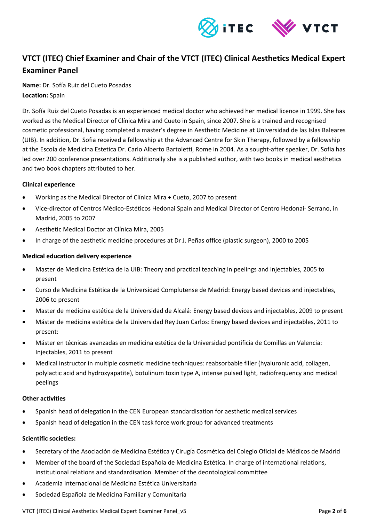

## **VTCT (ITEC) Chief Examiner and Chair of the VTCT (ITEC) Clinical Aesthetics Medical Expert Examiner Panel**

**Name:** Dr. Sofía Ruiz del Cueto Posadas **Location:** Spain

Dr. Sofía Ruiz del Cueto Posadas is an experienced medical doctor who achieved her medical licence in 1999. She has worked as the Medical Director of Clínica Mira and Cueto in Spain, since 2007. She is a trained and recognised cosmetic professional, having completed a master's degree in Aesthetic Medicine at Universidad de las Islas Baleares (UIB). In addition, Dr. Sofia received a fellowship at the Advanced Centre for Skin Therapy, followed by a fellowship at the Escola de Medicina Estetica Dr. Carlo Alberto Bartoletti, Rome in 2004. As a sought-after speaker, Dr. Sofia has led over 200 conference presentations. Additionally she is a published author, with two books in medical aesthetics and two book chapters attributed to her.

#### **Clinical experience**

- Working as the Medical Director of Clínica Mira + Cueto, 2007 to present
- Vice-director of Centros Médico-Estéticos Hedonai Spain and Medical Director of Centro Hedonai- Serrano, in Madrid, 2005 to 2007
- Aesthetic Medical Doctor at Clínica Mira, 2005
- In charge of the aesthetic medicine procedures at Dr J. Peñas office (plastic surgeon), 2000 to 2005

#### **Medical education delivery experience**

- Master de Medicina Estética de la UIB: Theory and practical teaching in peelings and injectables, 2005 to present
- Curso de Medicina Estética de la Universidad Complutense de Madrid: Energy based devices and injectables, 2006 to present
- Master de medicina estética de la Universidad de Alcalá: Energy based devices and injectables, 2009 to present
- Máster de medicina estética de la Universidad Rey Juan Carlos: Energy based devices and injectables, 2011 to present:
- Máster en técnicas avanzadas en medicina estética de la Universidad pontificia de Comillas en Valencia: Injectables, 2011 to present
- Medical instructor in multiple cosmetic medicine techniques: reabsorbable filler (hyaluronic acid, collagen, polylactic acid and hydroxyapatite), botulinum toxin type A, intense pulsed light, radiofrequency and medical peelings

#### **Other activities**

- Spanish head of delegation in the CEN European standardisation for aesthetic medical services
- Spanish head of delegation in the CEN task force work group for advanced treatments

#### **Scientific societies:**

- Secretary of the Asociación de Medicina Estética y Cirugía Cosmética del Colegio Oficial de Médicos de Madrid
- Member of the board of the Sociedad Española de Medicina Estética. In charge of international relations, institutional relations and standardisation. Member of the deontological committee
- Academia Internacional de Medicina Estética Universitaria
- Sociedad Española de Medicina Familiar y Comunitaria

VTCT (ITEC) Clinical Aesthetics Medical Expert Examiner Panel\_v5 Page **2** of **6**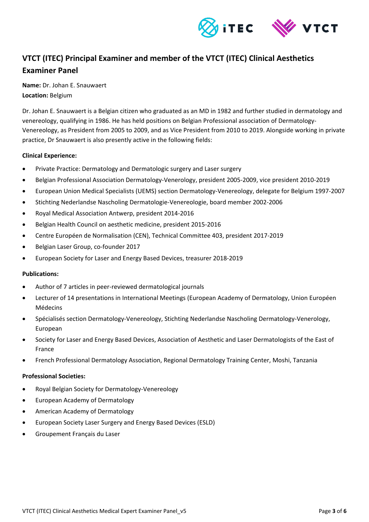

# **VTCT (ITEC) Principal Examiner and member of the VTCT (ITEC) Clinical Aesthetics Examiner Panel**

**Name:** Dr. Johan E. Snauwaert **Location:** Belgium

Dr. Johan E. Snauwaert is a Belgian citizen who graduated as an MD in 1982 and further studied in dermatology and venereology, qualifying in 1986. He has held positions on Belgian Professional association of Dermatology-Venereology, as President from 2005 to 2009, and as Vice President from 2010 to 2019. Alongside working in private practice, Dr Snauwaert is also presently active in the following fields:

#### **Clinical Experience:**

- Private Practice: Dermatology and Dermatologic surgery and Laser surgery
- Belgian Professional Association Dermatology-Venerology, president 2005-2009, vice president 2010-2019
- European Union Medical Specialists (UEMS) section Dermatology-Venereology, delegate for Belgium 1997-2007
- Stichting Nederlandse Nascholing Dermatologie-Venereologie, board member 2002-2006
- Royal Medical Association Antwerp, president 2014-2016
- Belgian Health Council on aesthetic medicine, president 2015-2016
- Centre Européen de Normalisation (CEN), Technical Committee 403, president 2017-2019
- Belgian Laser Group, co-founder 2017
- European Society for Laser and Energy Based Devices, treasurer 2018-2019

#### **Publications:**

- Author of 7 articles in peer-reviewed dermatological journals
- Lecturer of 14 presentations in International Meetings (European Academy of Dermatology, Union Européen Médecins
- Spécialisés section Dermatology-Venereology, Stichting Nederlandse Nascholing Dermatology-Venerology, European
- Society for Laser and Energy Based Devices, Association of Aesthetic and Laser Dermatologists of the East of France
- French Professional Dermatology Association, Regional Dermatology Training Center, Moshi, Tanzania

#### **Professional Societies:**

- Royal Belgian Society for Dermatology-Venereology
- European Academy of Dermatology
- American Academy of Dermatology
- European Society Laser Surgery and Energy Based Devices (ESLD)
- Groupement Français du Laser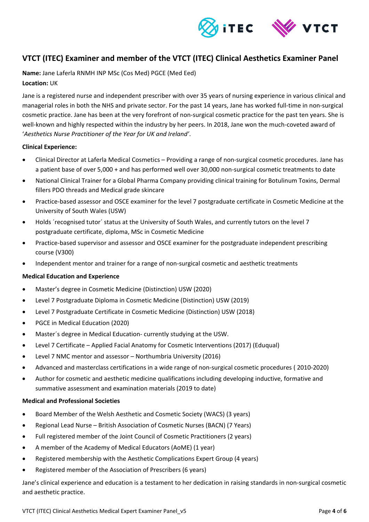

### **VTCT (ITEC) Examiner and member of the VTCT (ITEC) Clinical Aesthetics Examiner Panel**

**Name:** Jane Laferla RNMH INP MSc (Cos Med) PGCE (Med Eed) **Location:** UK

Jane is a registered nurse and independent prescriber with over 35 years of nursing experience in various clinical and managerial roles in both the NHS and private sector. For the past 14 years, Jane has worked full-time in non-surgical cosmetic practice. Jane has been at the very forefront of non-surgical cosmetic practice for the past ten years. She is well-known and highly respected within the industry by her peers. In 2018, Jane won the much-coveted award of '*Aesthetics Nurse Practitioner of the Year for UK and Ireland'*.

#### **Clinical Experience:**

- Clinical Director at Laferla Medical Cosmetics Providing a range of non-surgical cosmetic procedures. Jane has a patient base of over 5,000 + and has performed well over 30,000 non-surgical cosmetic treatments to date
- National Clinical Trainer for a Global Pharma Company providing clinical training for Botulinum Toxins, Dermal fillers PDO threads and Medical grade skincare
- Practice-based assessor and OSCE examiner for the level 7 postgraduate certificate in Cosmetic Medicine at the University of South Wales (USW)
- Holds ´recognised tutor´ status at the University of South Wales, and currently tutors on the level 7 postgraduate certificate, diploma, MSc in Cosmetic Medicine
- Practice-based supervisor and assessor and OSCE examiner for the postgraduate independent prescribing course (V300)
- Independent mentor and trainer for a range of non-surgical cosmetic and aesthetic treatments

#### **Medical Education and Experience**

- Master's degree in Cosmetic Medicine (Distinction) USW (2020)
- Level 7 Postgraduate Diploma in Cosmetic Medicine (Distinction) USW (2019)
- Level 7 Postgraduate Certificate in Cosmetic Medicine (Distinction) USW (2018)
- PGCE in Medical Education (2020)
- Master´s degree in Medical Education- currently studying at the USW.
- Level 7 Certificate Applied Facial Anatomy for Cosmetic Interventions (2017) (Eduqual)
- Level 7 NMC mentor and assessor Northumbria University (2016)
- Advanced and masterclass certifications in a wide range of non-surgical cosmetic procedures ( 2010-2020)
- Author for cosmetic and aesthetic medicine qualifications including developing inductive, formative and summative assessment and examination materials (2019 to date)

#### **Medical and Professional Societies**

- Board Member of the Welsh Aesthetic and Cosmetic Society (WACS) (3 years)
- Regional Lead Nurse British Association of Cosmetic Nurses (BACN) (7 Years)
- Full registered member of the Joint Council of Cosmetic Practitioners (2 years)
- A member of the Academy of Medical Educators (AoME) (1 year)
- Registered membership with the Aesthetic Complications Expert Group (4 years)
- Registered member of the Association of Prescribers (6 years)

Jane's clinical experience and education is a testament to her dedication in raising standards in non-surgical cosmetic and aesthetic practice.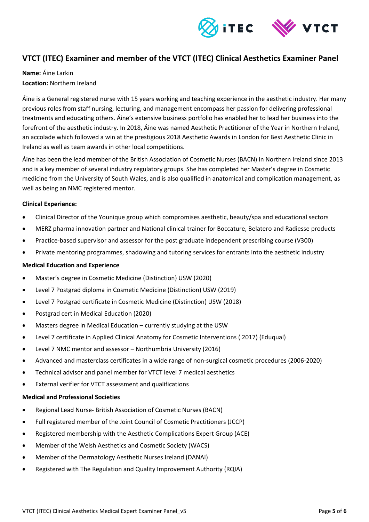

## **VTCT (ITEC) Examiner and member of the VTCT (ITEC) Clinical Aesthetics Examiner Panel**

### **Name:** Áine Larkin **Location:** Northern Ireland

Áine is a General registered nurse with 15 years working and teaching experience in the aesthetic industry. Her many previous roles from staff nursing, lecturing, and management encompass her passion for delivering professional treatments and educating others. Áine's extensive business portfolio has enabled her to lead her business into the forefront of the aesthetic industry. In 2018, Áine was named Aesthetic Practitioner of the Year in Northern Ireland, an accolade which followed a win at the prestigious 2018 Aesthetic Awards in London for Best Aesthetic Clinic in Ireland as well as team awards in other local competitions.

Áine has been the lead member of the British Association of Cosmetic Nurses (BACN) in Northern Ireland since 2013 and is a key member of several industry regulatory groups. She has completed her Master's degree in Cosmetic medicine from the University of South Wales, and is also qualified in anatomical and complication management, as well as being an NMC registered mentor.

#### **Clinical Experience:**

- Clinical Director of the Younique group which compromises aesthetic, beauty/spa and educational sectors
- MERZ pharma innovation partner and National clinical trainer for Boccature, Belatero and Radiesse products
- Practice-based supervisor and assessor for the post graduate independent prescribing course (V300)
- Private mentoring programmes, shadowing and tutoring services for entrants into the aesthetic industry

#### **Medical Education and Experience**

- Master's degree in Cosmetic Medicine (Distinction) USW (2020)
- Level 7 Postgrad diploma in Cosmetic Medicine (Distinction) USW (2019)
- Level 7 Postgrad certificate in Cosmetic Medicine (Distinction) USW (2018)
- Postgrad cert in Medical Education (2020)
- Masters degree in Medical Education currently studying at the USW
- Level 7 certificate in Applied Clinical Anatomy for Cosmetic Interventions ( 2017) (Eduqual)
- Level 7 NMC mentor and assessor Northumbria University (2016)
- Advanced and masterclass certificates in a wide range of non-surgical cosmetic procedures (2006-2020)
- Technical advisor and panel member for VTCT level 7 medical aesthetics
- External verifier for VTCT assessment and qualifications

#### **Medical and Professional Societies**

- Regional Lead Nurse- British Association of Cosmetic Nurses (BACN)
- Full registered member of the Joint Council of Cosmetic Practitioners (JCCP)
- Registered membership with the Aesthetic Complications Expert Group (ACE)
- Member of the Welsh Aesthetics and Cosmetic Society (WACS)
- Member of the Dermatology Aesthetic Nurses Ireland (DANAI)
- Registered with The Regulation and Quality Improvement Authority (RQIA)